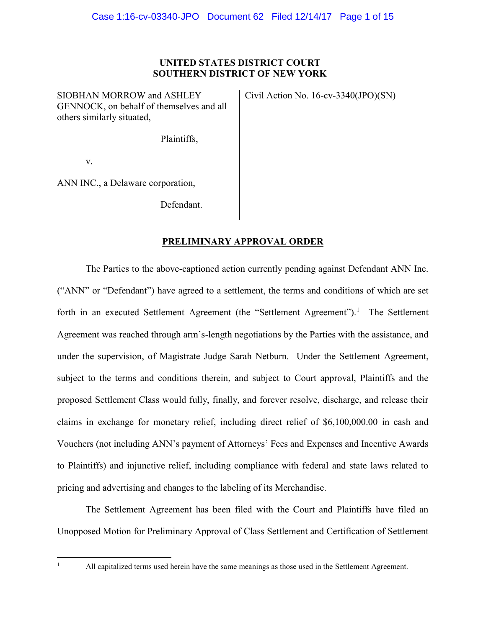## **UNITED STATES DISTRICT COURT SOUTHERN DISTRICT OF NEW YORK**

SIOBHAN MORROW and ASHLEY GENNOCK, on behalf of themselves and all others similarly situated,

Civil Action No. 16-cv-3340(JPO)(SN)

Plaintiffs,

v.

ANN INC., a Delaware corporation,

Defendant.

# **PRELIMINARY APPROVAL ORDER**

The Parties to the above-captioned action currently pending against Defendant ANN Inc. ("ANN" or "Defendant") have agreed to a settlement, the terms and conditions of which are set forth in an executed Settlement Agreement (the "Settlement Agreement").<sup>1</sup> The Settlement Agreement was reached through arm's-length negotiations by the Parties with the assistance, and under the supervision, of Magistrate Judge Sarah Netburn. Under the Settlement Agreement, subject to the terms and conditions therein, and subject to Court approval, Plaintiffs and the proposed Settlement Class would fully, finally, and forever resolve, discharge, and release their claims in exchange for monetary relief, including direct relief of \$6,100,000.00 in cash and Vouchers (not including ANN's payment of Attorneys' Fees and Expenses and Incentive Awards to Plaintiffs) and injunctive relief, including compliance with federal and state laws related to pricing and advertising and changes to the labeling of its Merchandise.

The Settlement Agreement has been filed with the Court and Plaintiffs have filed an Unopposed Motion for Preliminary Approval of Class Settlement and Certification of Settlement

|<br>|<br>|

All capitalized terms used herein have the same meanings as those used in the Settlement Agreement.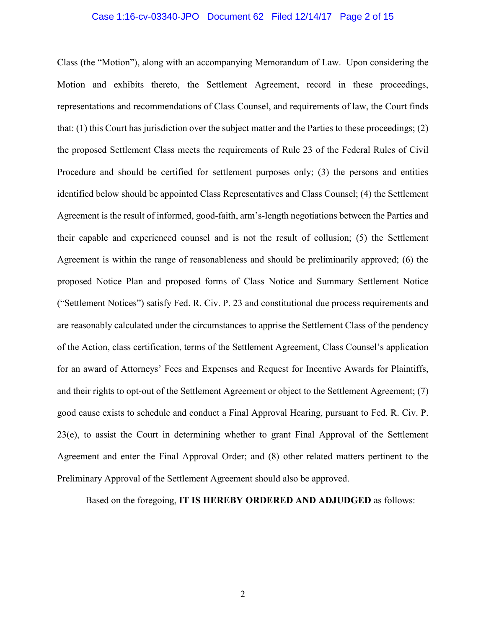#### Case 1:16-cv-03340-JPO Document 62 Filed 12/14/17 Page 2 of 15

Class (the "Motion"), along with an accompanying Memorandum of Law. Upon considering the Motion and exhibits thereto, the Settlement Agreement, record in these proceedings, representations and recommendations of Class Counsel, and requirements of law, the Court finds that: (1) this Court has jurisdiction over the subject matter and the Parties to these proceedings; (2) the proposed Settlement Class meets the requirements of Rule 23 of the Federal Rules of Civil Procedure and should be certified for settlement purposes only; (3) the persons and entities identified below should be appointed Class Representatives and Class Counsel; (4) the Settlement Agreement is the result of informed, good-faith, arm's-length negotiations between the Parties and their capable and experienced counsel and is not the result of collusion; (5) the Settlement Agreement is within the range of reasonableness and should be preliminarily approved; (6) the proposed Notice Plan and proposed forms of Class Notice and Summary Settlement Notice ("Settlement Notices") satisfy Fed. R. Civ. P. 23 and constitutional due process requirements and are reasonably calculated under the circumstances to apprise the Settlement Class of the pendency of the Action, class certification, terms of the Settlement Agreement, Class Counsel's application for an award of Attorneys' Fees and Expenses and Request for Incentive Awards for Plaintiffs, and their rights to opt-out of the Settlement Agreement or object to the Settlement Agreement; (7) good cause exists to schedule and conduct a Final Approval Hearing, pursuant to Fed. R. Civ. P. 23(e), to assist the Court in determining whether to grant Final Approval of the Settlement Agreement and enter the Final Approval Order; and (8) other related matters pertinent to the Preliminary Approval of the Settlement Agreement should also be approved.

Based on the foregoing, **IT IS HEREBY ORDERED AND ADJUDGED** as follows: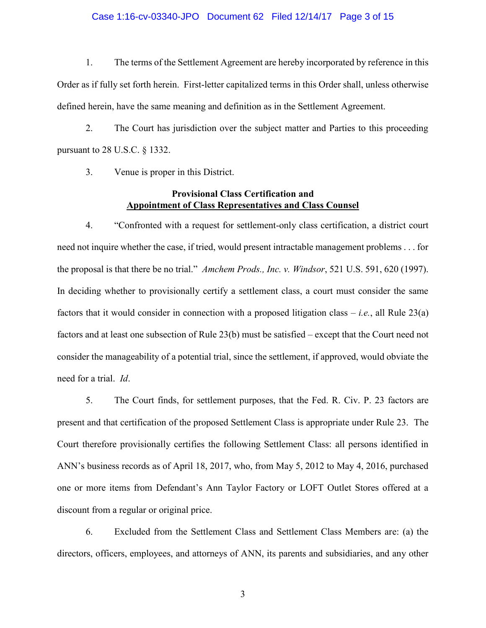### Case 1:16-cv-03340-JPO Document 62 Filed 12/14/17 Page 3 of 15

1. The terms of the Settlement Agreement are hereby incorporated by reference in this Order as if fully set forth herein. First-letter capitalized terms in this Order shall, unless otherwise defined herein, have the same meaning and definition as in the Settlement Agreement.

2. The Court has jurisdiction over the subject matter and Parties to this proceeding pursuant to 28 U.S.C. § 1332.

3. Venue is proper in this District.

## **Provisional Class Certification and Appointment of Class Representatives and Class Counsel**

4. "Confronted with a request for settlement-only class certification, a district court need not inquire whether the case, if tried, would present intractable management problems . . . for the proposal is that there be no trial." *Amchem Prods., Inc. v. Windsor*, 521 U.S. 591, 620 (1997). In deciding whether to provisionally certify a settlement class, a court must consider the same factors that it would consider in connection with a proposed litigation class – *i.e.*, all Rule 23(a) factors and at least one subsection of Rule 23(b) must be satisfied – except that the Court need not consider the manageability of a potential trial, since the settlement, if approved, would obviate the need for a trial. *Id*.

5. The Court finds, for settlement purposes, that the Fed. R. Civ. P. 23 factors are present and that certification of the proposed Settlement Class is appropriate under Rule 23. The Court therefore provisionally certifies the following Settlement Class: all persons identified in ANN's business records as of April 18, 2017, who, from May 5, 2012 to May 4, 2016, purchased one or more items from Defendant's Ann Taylor Factory or LOFT Outlet Stores offered at a discount from a regular or original price.

6. Excluded from the Settlement Class and Settlement Class Members are: (a) the directors, officers, employees, and attorneys of ANN, its parents and subsidiaries, and any other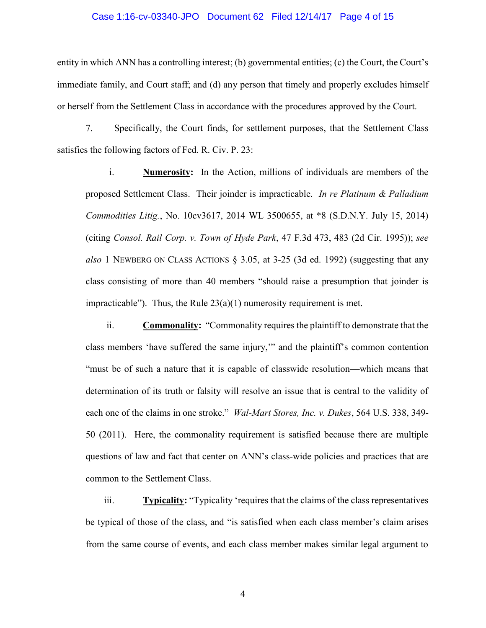# Case 1:16-cv-03340-JPO Document 62 Filed 12/14/17 Page 4 of 15

entity in which ANN has a controlling interest; (b) governmental entities; (c) the Court, the Court's immediate family, and Court staff; and (d) any person that timely and properly excludes himself or herself from the Settlement Class in accordance with the procedures approved by the Court.

7. Specifically, the Court finds, for settlement purposes, that the Settlement Class satisfies the following factors of Fed. R. Civ. P. 23:

i. **Numerosity:** In the Action, millions of individuals are members of the proposed Settlement Class. Their joinder is impracticable. *In re Platinum & Palladium Commodities Litig.*, No. 10cv3617, 2014 WL 3500655, at \*8 (S.D.N.Y. July 15, 2014) (citing *Consol. Rail Corp. v. Town of Hyde Park*, 47 F.3d 473, 483 (2d Cir. 1995)); *see also* 1 NEWBERG ON CLASS ACTIONS § 3.05, at 3-25 (3d ed. 1992) (suggesting that any class consisting of more than 40 members "should raise a presumption that joinder is impracticable"). Thus, the Rule  $23(a)(1)$  numerosity requirement is met.

ii. **Commonality:** "Commonality requires the plaintiff to demonstrate that the class members 'have suffered the same injury,'" and the plaintiff's common contention "must be of such a nature that it is capable of classwide resolution—which means that determination of its truth or falsity will resolve an issue that is central to the validity of each one of the claims in one stroke." *Wal-Mart Stores, Inc. v. Dukes*, 564 U.S. 338, 349- 50 (2011). Here, the commonality requirement is satisfied because there are multiple questions of law and fact that center on ANN's class-wide policies and practices that are common to the Settlement Class.

iii. **Typicality:** "Typicality 'requires that the claims of the class representatives be typical of those of the class, and "is satisfied when each class member's claim arises from the same course of events, and each class member makes similar legal argument to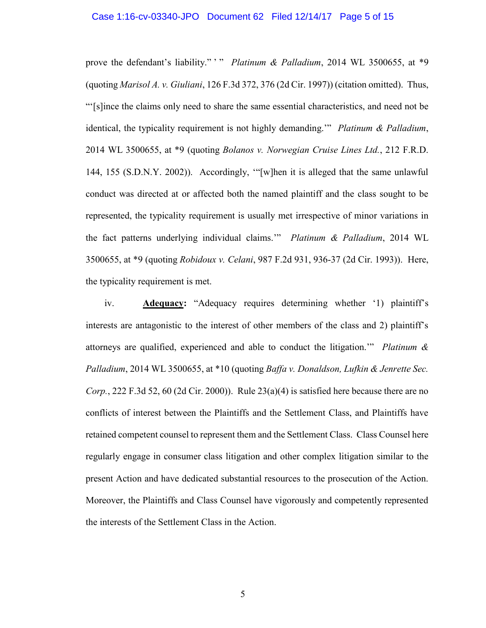#### Case 1:16-cv-03340-JPO Document 62 Filed 12/14/17 Page 5 of 15

prove the defendant's liability." " *Platinum & Palladium*, 2014 WL 3500655, at \*9 (quoting *Marisol A. v. Giuliani*, 126 F.3d 372, 376 (2d Cir. 1997)) (citation omitted). Thus, "'[s]ince the claims only need to share the same essential characteristics, and need not be identical, the typicality requirement is not highly demanding.'" *Platinum & Palladium*, 2014 WL 3500655, at \*9 (quoting *Bolanos v. Norwegian Cruise Lines Ltd.*, 212 F.R.D. 144, 155 (S.D.N.Y. 2002)). Accordingly, '"[w]hen it is alleged that the same unlawful conduct was directed at or affected both the named plaintiff and the class sought to be represented, the typicality requirement is usually met irrespective of minor variations in the fact patterns underlying individual claims.'" *Platinum & Palladium*, 2014 WL 3500655, at \*9 (quoting *Robidoux v. Celani*, 987 F.2d 931, 936-37 (2d Cir. 1993)). Here, the typicality requirement is met.

iv. **Adequacy:** "Adequacy requires determining whether '1) plaintiff's interests are antagonistic to the interest of other members of the class and 2) plaintiff's attorneys are qualified, experienced and able to conduct the litigation.'" *Platinum & Palladium*, 2014 WL 3500655, at \*10 (quoting *Baffa v. Donaldson, Lufkin & Jenrette Sec. Corp.*, 222 F.3d 52, 60 (2d Cir. 2000)). Rule 23(a)(4) is satisfied here because there are no conflicts of interest between the Plaintiffs and the Settlement Class, and Plaintiffs have retained competent counsel to represent them and the Settlement Class. Class Counsel here regularly engage in consumer class litigation and other complex litigation similar to the present Action and have dedicated substantial resources to the prosecution of the Action. Moreover, the Plaintiffs and Class Counsel have vigorously and competently represented the interests of the Settlement Class in the Action.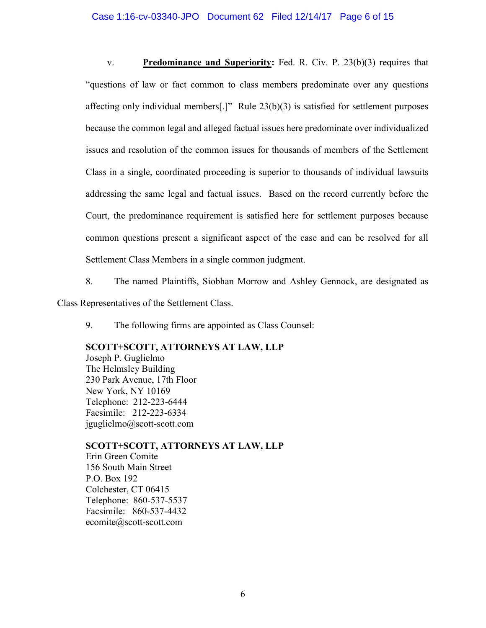### Case 1:16-cv-03340-JPO Document 62 Filed 12/14/17 Page 6 of 15

v. **Predominance and Superiority:** Fed. R. Civ. P. 23(b)(3) requires that "questions of law or fact common to class members predominate over any questions affecting only individual members[.]" Rule 23(b)(3) is satisfied for settlement purposes because the common legal and alleged factual issues here predominate over individualized issues and resolution of the common issues for thousands of members of the Settlement Class in a single, coordinated proceeding is superior to thousands of individual lawsuits addressing the same legal and factual issues. Based on the record currently before the Court, the predominance requirement is satisfied here for settlement purposes because common questions present a significant aspect of the case and can be resolved for all Settlement Class Members in a single common judgment.

8. The named Plaintiffs, Siobhan Morrow and Ashley Gennock, are designated as Class Representatives of the Settlement Class.

9. The following firms are appointed as Class Counsel:

## **SCOTT+SCOTT, ATTORNEYS AT LAW, LLP**

Joseph P. Guglielmo The Helmsley Building 230 Park Avenue, 17th Floor New York, NY 10169 Telephone: 212-223-6444 Facsimile: 212-223-6334 jguglielmo@scott-scott.com

**SCOTT+SCOTT, ATTORNEYS AT LAW, LLP** Erin Green Comite 156 South Main Street P.O. Box 192 Colchester, CT 06415 Telephone: 860-537-5537 Facsimile: 860-537-4432 ecomite@scott-scott.com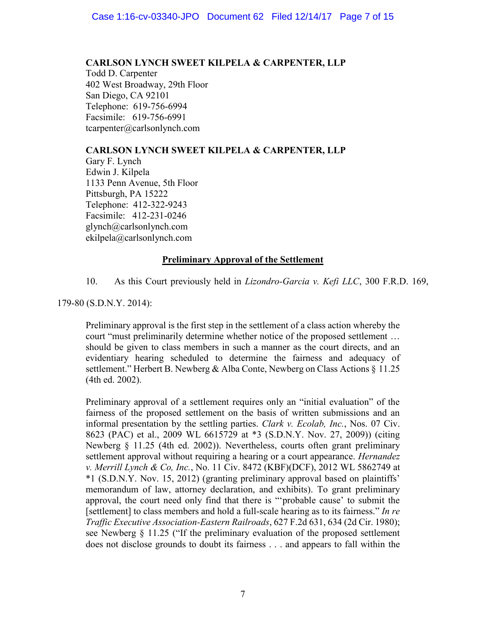## **CARLSON LYNCH SWEET KILPELA & CARPENTER, LLP**

Todd D. Carpenter 402 West Broadway, 29th Floor San Diego, CA 92101 Telephone: 619-756-6994 Facsimile: 619-756-6991 tcarpenter@carlsonlynch.com

# **CARLSON LYNCH SWEET KILPELA & CARPENTER, LLP**

Gary F. Lynch Edwin J. Kilpela 1133 Penn Avenue, 5th Floor Pittsburgh, PA 15222 Telephone: 412-322-9243 Facsimile: 412-231-0246 glynch@carlsonlynch.com ekilpela@carlsonlynch.com

# **Preliminary Approval of the Settlement**

10. As this Court previously held in *Lizondro-Garcia v. Kefi LLC*, 300 F.R.D. 169,

179-80 (S.D.N.Y. 2014):

Preliminary approval is the first step in the settlement of a class action whereby the court "must preliminarily determine whether notice of the proposed settlement … should be given to class members in such a manner as the court directs, and an evidentiary hearing scheduled to determine the fairness and adequacy of settlement." Herbert B. Newberg & Alba Conte, Newberg on Class Actions § 11.25 (4th ed. 2002).

Preliminary approval of a settlement requires only an "initial evaluation" of the fairness of the proposed settlement on the basis of written submissions and an informal presentation by the settling parties. *Clark v. Ecolab, Inc.*, Nos. 07 Civ. 8623 (PAC) et al., 2009 WL 6615729 at \*3 (S.D.N.Y. Nov. 27, 2009)) (citing Newberg § 11.25 (4th ed. 2002)). Nevertheless, courts often grant preliminary settlement approval without requiring a hearing or a court appearance. *Hernandez v. Merrill Lynch & Co, Inc.*, No. 11 Civ. 8472 (KBF)(DCF), 2012 WL 5862749 at \*1 (S.D.N.Y. Nov. 15, 2012) (granting preliminary approval based on plaintiffs' memorandum of law, attorney declaration, and exhibits). To grant preliminary approval, the court need only find that there is "'probable cause' to submit the [settlement] to class members and hold a full-scale hearing as to its fairness." *In re Traffic Executive Association-Eastern Railroads*, 627 F.2d 631, 634 (2d Cir. 1980); see Newberg § 11.25 ("If the preliminary evaluation of the proposed settlement does not disclose grounds to doubt its fairness . . . and appears to fall within the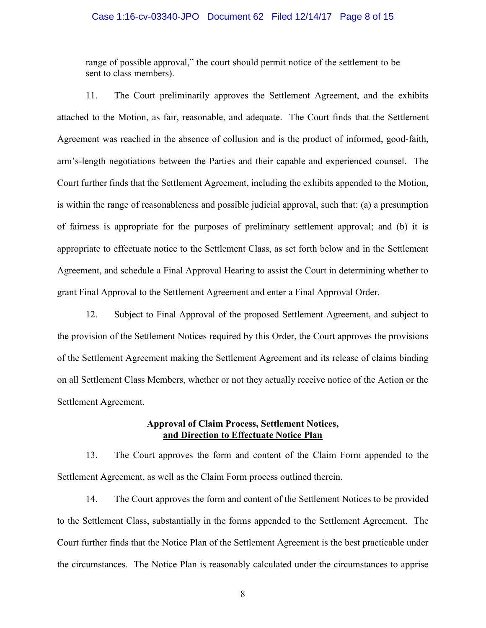### Case 1:16-cv-03340-JPO Document 62 Filed 12/14/17 Page 8 of 15

range of possible approval," the court should permit notice of the settlement to be sent to class members).

11. The Court preliminarily approves the Settlement Agreement, and the exhibits attached to the Motion, as fair, reasonable, and adequate. The Court finds that the Settlement Agreement was reached in the absence of collusion and is the product of informed, good-faith, arm's-length negotiations between the Parties and their capable and experienced counsel. The Court further finds that the Settlement Agreement, including the exhibits appended to the Motion, is within the range of reasonableness and possible judicial approval, such that: (a) a presumption of fairness is appropriate for the purposes of preliminary settlement approval; and (b) it is appropriate to effectuate notice to the Settlement Class, as set forth below and in the Settlement Agreement, and schedule a Final Approval Hearing to assist the Court in determining whether to grant Final Approval to the Settlement Agreement and enter a Final Approval Order.

12. Subject to Final Approval of the proposed Settlement Agreement, and subject to the provision of the Settlement Notices required by this Order, the Court approves the provisions of the Settlement Agreement making the Settlement Agreement and its release of claims binding on all Settlement Class Members, whether or not they actually receive notice of the Action or the Settlement Agreement.

## **Approval of Claim Process, Settlement Notices, and Direction to Effectuate Notice Plan**

13. The Court approves the form and content of the Claim Form appended to the Settlement Agreement, as well as the Claim Form process outlined therein.

14. The Court approves the form and content of the Settlement Notices to be provided to the Settlement Class, substantially in the forms appended to the Settlement Agreement. The Court further finds that the Notice Plan of the Settlement Agreement is the best practicable under the circumstances. The Notice Plan is reasonably calculated under the circumstances to apprise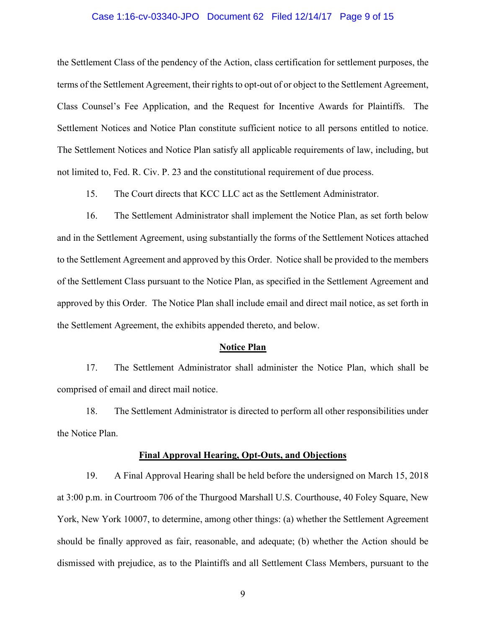### Case 1:16-cv-03340-JPO Document 62 Filed 12/14/17 Page 9 of 15

the Settlement Class of the pendency of the Action, class certification for settlement purposes, the terms of the Settlement Agreement, their rights to opt-out of or object to the Settlement Agreement, Class Counsel's Fee Application, and the Request for Incentive Awards for Plaintiffs. The Settlement Notices and Notice Plan constitute sufficient notice to all persons entitled to notice. The Settlement Notices and Notice Plan satisfy all applicable requirements of law, including, but not limited to, Fed. R. Civ. P. 23 and the constitutional requirement of due process.

15. The Court directs that KCC LLC act as the Settlement Administrator.

16. The Settlement Administrator shall implement the Notice Plan, as set forth below and in the Settlement Agreement, using substantially the forms of the Settlement Notices attached to the Settlement Agreement and approved by this Order. Notice shall be provided to the members of the Settlement Class pursuant to the Notice Plan, as specified in the Settlement Agreement and approved by this Order. The Notice Plan shall include email and direct mail notice, as set forth in the Settlement Agreement, the exhibits appended thereto, and below.

### **Notice Plan**

17. The Settlement Administrator shall administer the Notice Plan, which shall be comprised of email and direct mail notice.

18. The Settlement Administrator is directed to perform all other responsibilities under the Notice Plan.

### **Final Approval Hearing, Opt-Outs, and Objections**

19. A Final Approval Hearing shall be held before the undersigned on March 15, 2018 at 3:00 p.m. in Courtroom 706 of the Thurgood Marshall U.S. Courthouse, 40 Foley Square, New York, New York 10007, to determine, among other things: (a) whether the Settlement Agreement should be finally approved as fair, reasonable, and adequate; (b) whether the Action should be dismissed with prejudice, as to the Plaintiffs and all Settlement Class Members, pursuant to the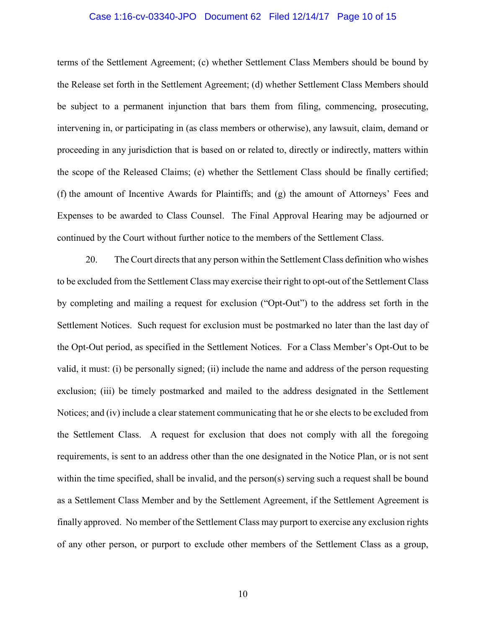# Case 1:16-cv-03340-JPO Document 62 Filed 12/14/17 Page 10 of 15

terms of the Settlement Agreement; (c) whether Settlement Class Members should be bound by the Release set forth in the Settlement Agreement; (d) whether Settlement Class Members should be subject to a permanent injunction that bars them from filing, commencing, prosecuting, intervening in, or participating in (as class members or otherwise), any lawsuit, claim, demand or proceeding in any jurisdiction that is based on or related to, directly or indirectly, matters within the scope of the Released Claims; (e) whether the Settlement Class should be finally certified; (f) the amount of Incentive Awards for Plaintiffs; and (g) the amount of Attorneys' Fees and Expenses to be awarded to Class Counsel. The Final Approval Hearing may be adjourned or continued by the Court without further notice to the members of the Settlement Class.

20. The Court directs that any person within the Settlement Class definition who wishes to be excluded from the Settlement Class may exercise their right to opt-out of the Settlement Class by completing and mailing a request for exclusion ("Opt-Out") to the address set forth in the Settlement Notices. Such request for exclusion must be postmarked no later than the last day of the Opt-Out period, as specified in the Settlement Notices. For a Class Member's Opt-Out to be valid, it must: (i) be personally signed; (ii) include the name and address of the person requesting exclusion; (iii) be timely postmarked and mailed to the address designated in the Settlement Notices; and (iv) include a clear statement communicating that he or she elects to be excluded from the Settlement Class. A request for exclusion that does not comply with all the foregoing requirements, is sent to an address other than the one designated in the Notice Plan, or is not sent within the time specified, shall be invalid, and the person(s) serving such a request shall be bound as a Settlement Class Member and by the Settlement Agreement, if the Settlement Agreement is finally approved. No member of the Settlement Class may purport to exercise any exclusion rights of any other person, or purport to exclude other members of the Settlement Class as a group,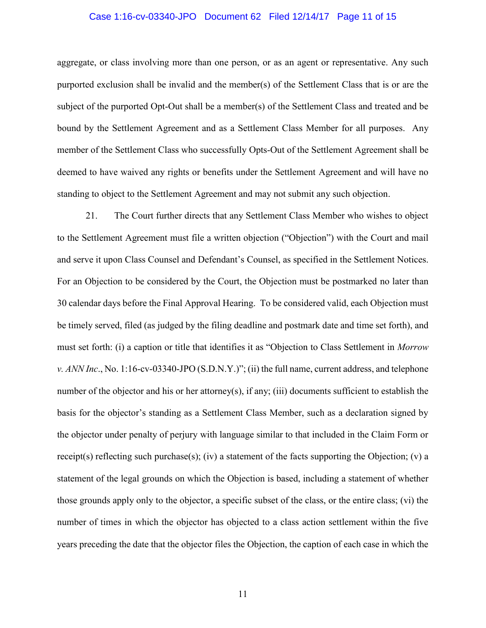### Case 1:16-cv-03340-JPO Document 62 Filed 12/14/17 Page 11 of 15

aggregate, or class involving more than one person, or as an agent or representative. Any such purported exclusion shall be invalid and the member(s) of the Settlement Class that is or are the subject of the purported Opt-Out shall be a member(s) of the Settlement Class and treated and be bound by the Settlement Agreement and as a Settlement Class Member for all purposes. Any member of the Settlement Class who successfully Opts-Out of the Settlement Agreement shall be deemed to have waived any rights or benefits under the Settlement Agreement and will have no standing to object to the Settlement Agreement and may not submit any such objection.

21. The Court further directs that any Settlement Class Member who wishes to object to the Settlement Agreement must file a written objection ("Objection") with the Court and mail and serve it upon Class Counsel and Defendant's Counsel, as specified in the Settlement Notices. For an Objection to be considered by the Court, the Objection must be postmarked no later than 30 calendar days before the Final Approval Hearing. To be considered valid, each Objection must be timely served, filed (as judged by the filing deadline and postmark date and time set forth), and must set forth: (i) a caption or title that identifies it as "Objection to Class Settlement in *Morrow v. ANN Inc*., No. 1:16-cv-03340-JPO (S.D.N.Y.)"; (ii) the full name, current address, and telephone number of the objector and his or her attorney(s), if any; (iii) documents sufficient to establish the basis for the objector's standing as a Settlement Class Member, such as a declaration signed by the objector under penalty of perjury with language similar to that included in the Claim Form or receipt(s) reflecting such purchase(s); (iv) a statement of the facts supporting the Objection; (v) a statement of the legal grounds on which the Objection is based, including a statement of whether those grounds apply only to the objector, a specific subset of the class, or the entire class; (vi) the number of times in which the objector has objected to a class action settlement within the five years preceding the date that the objector files the Objection, the caption of each case in which the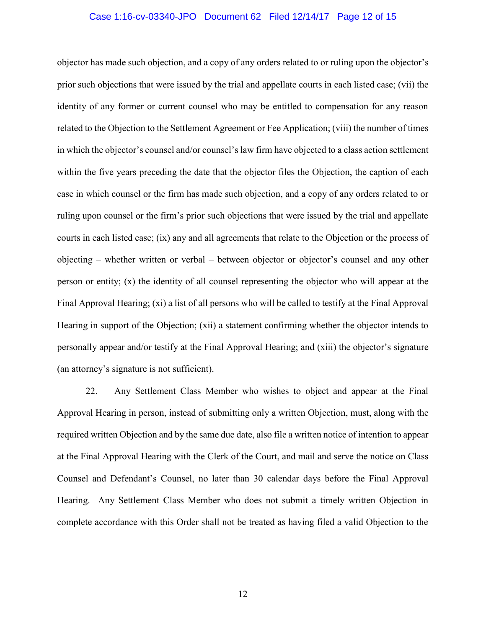# Case 1:16-cv-03340-JPO Document 62 Filed 12/14/17 Page 12 of 15

objector has made such objection, and a copy of any orders related to or ruling upon the objector's prior such objections that were issued by the trial and appellate courts in each listed case; (vii) the identity of any former or current counsel who may be entitled to compensation for any reason related to the Objection to the Settlement Agreement or Fee Application; (viii) the number of times in which the objector's counsel and/or counsel's law firm have objected to a class action settlement within the five years preceding the date that the objector files the Objection, the caption of each case in which counsel or the firm has made such objection, and a copy of any orders related to or ruling upon counsel or the firm's prior such objections that were issued by the trial and appellate courts in each listed case; (ix) any and all agreements that relate to the Objection or the process of objecting – whether written or verbal – between objector or objector's counsel and any other person or entity; (x) the identity of all counsel representing the objector who will appear at the Final Approval Hearing; (xi) a list of all persons who will be called to testify at the Final Approval Hearing in support of the Objection; (xii) a statement confirming whether the objector intends to personally appear and/or testify at the Final Approval Hearing; and (xiii) the objector's signature (an attorney's signature is not sufficient).

22. Any Settlement Class Member who wishes to object and appear at the Final Approval Hearing in person, instead of submitting only a written Objection, must, along with the required written Objection and by the same due date, also file a written notice of intention to appear at the Final Approval Hearing with the Clerk of the Court, and mail and serve the notice on Class Counsel and Defendant's Counsel, no later than 30 calendar days before the Final Approval Hearing. Any Settlement Class Member who does not submit a timely written Objection in complete accordance with this Order shall not be treated as having filed a valid Objection to the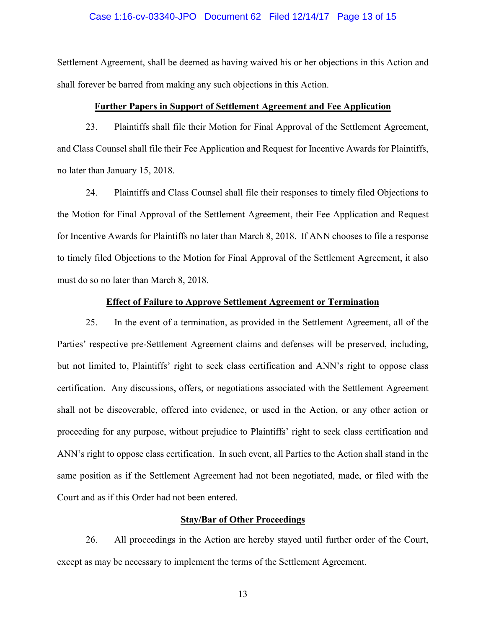# Case 1:16-cv-03340-JPO Document 62 Filed 12/14/17 Page 13 of 15

Settlement Agreement, shall be deemed as having waived his or her objections in this Action and shall forever be barred from making any such objections in this Action.

### **Further Papers in Support of Settlement Agreement and Fee Application**

23. Plaintiffs shall file their Motion for Final Approval of the Settlement Agreement, and Class Counsel shall file their Fee Application and Request for Incentive Awards for Plaintiffs, no later than January 15, 2018.

24. Plaintiffs and Class Counsel shall file their responses to timely filed Objections to the Motion for Final Approval of the Settlement Agreement, their Fee Application and Request for Incentive Awards for Plaintiffs no later than March 8, 2018. If ANN chooses to file a response to timely filed Objections to the Motion for Final Approval of the Settlement Agreement, it also must do so no later than March 8, 2018.

## **Effect of Failure to Approve Settlement Agreement or Termination**

25. In the event of a termination, as provided in the Settlement Agreement, all of the Parties' respective pre-Settlement Agreement claims and defenses will be preserved, including, but not limited to, Plaintiffs' right to seek class certification and ANN's right to oppose class certification. Any discussions, offers, or negotiations associated with the Settlement Agreement shall not be discoverable, offered into evidence, or used in the Action, or any other action or proceeding for any purpose, without prejudice to Plaintiffs' right to seek class certification and ANN's right to oppose class certification. In such event, all Parties to the Action shall stand in the same position as if the Settlement Agreement had not been negotiated, made, or filed with the Court and as if this Order had not been entered.

### **Stay/Bar of Other Proceedings**

26. All proceedings in the Action are hereby stayed until further order of the Court, except as may be necessary to implement the terms of the Settlement Agreement.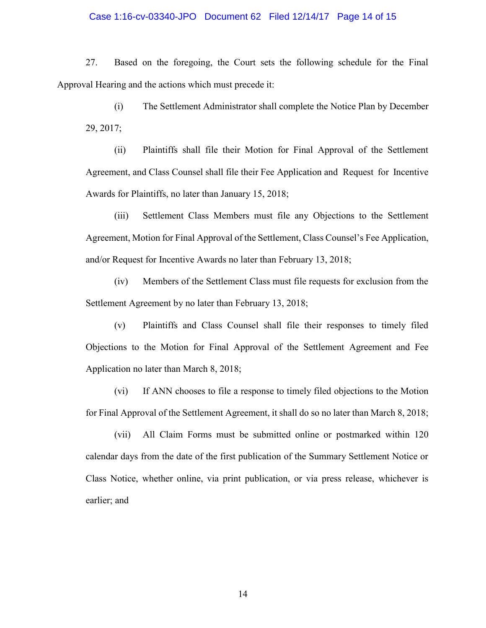### Case 1:16-cv-03340-JPO Document 62 Filed 12/14/17 Page 14 of 15

27. Based on the foregoing, the Court sets the following schedule for the Final Approval Hearing and the actions which must precede it:

(i) The Settlement Administrator shall complete the Notice Plan by December 29, 2017;

(ii) Plaintiffs shall file their Motion for Final Approval of the Settlement Agreement, and Class Counsel shall file their Fee Application and Request for Incentive Awards for Plaintiffs, no later than January 15, 2018;

(iii) Settlement Class Members must file any Objections to the Settlement Agreement, Motion for Final Approval of the Settlement, Class Counsel's Fee Application, and/or Request for Incentive Awards no later than February 13, 2018;

(iv) Members of the Settlement Class must file requests for exclusion from the Settlement Agreement by no later than February 13, 2018;

(v) Plaintiffs and Class Counsel shall file their responses to timely filed Objections to the Motion for Final Approval of the Settlement Agreement and Fee Application no later than March 8, 2018;

(vi) If ANN chooses to file a response to timely filed objections to the Motion for Final Approval of the Settlement Agreement, it shall do so no later than March 8, 2018;

(vii) All Claim Forms must be submitted online or postmarked within 120 calendar days from the date of the first publication of the Summary Settlement Notice or Class Notice, whether online, via print publication, or via press release, whichever is earlier; and